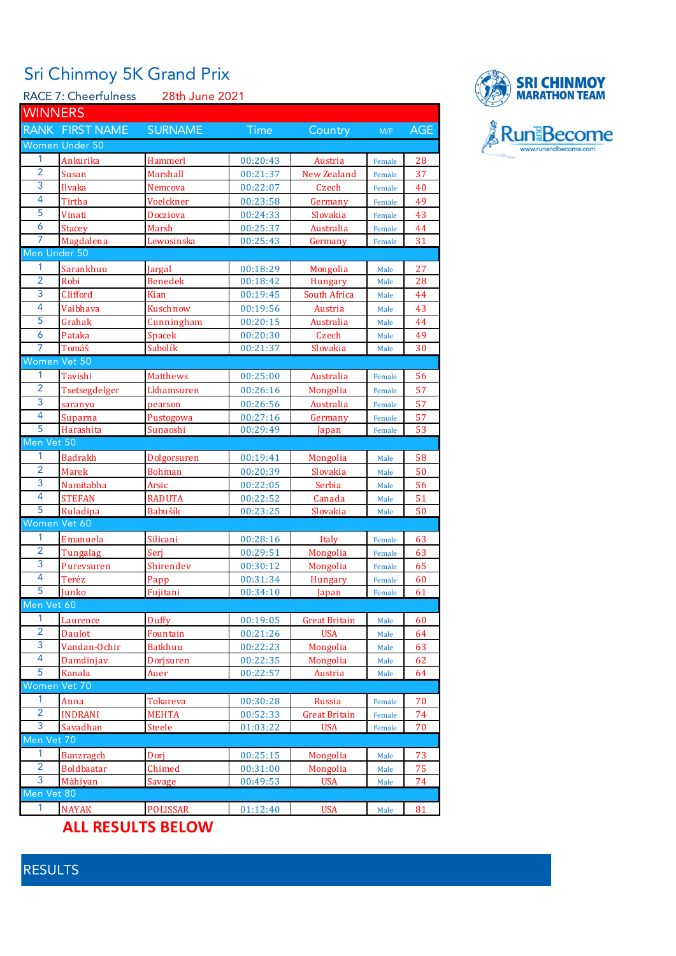## Sri Chinmoy 5K Grand Prix

RACE 7: Cheerfulness 28th June 2021

| <b>WINNERS</b> |                          |                       |                      |                      |                  |            |
|----------------|--------------------------|-----------------------|----------------------|----------------------|------------------|------------|
|                | RANK FIRST NAME          | <b>SURNAME</b>        | Time                 | Country              | M/F              | <b>AGE</b> |
|                | Women Under 50           |                       |                      |                      |                  |            |
| 1.             | Ankurika                 | Hammerl               | 00:20:43             | Austria              | Female           | 28         |
| 2              | Susan                    | Marshall              | 00:21:37             | New Zealand          | Female           | 37         |
| 3              | Ilvaka                   | Nemcova               | 00:22:07             | Czech                | Female           | 40         |
| 4              | Tirtha                   | Voelckner             | 00:23:58             | Germany              | Female           | 49         |
| 5              | Vinati                   | Docziova              | 00:24:33             | Slovakia             | Female           | 43         |
| 6              | <b>Stacey</b>            | Marsh                 | 00:25:37             | Australia            | Female           | 44         |
| 7              | Magdalena                | Lewosinska            | 00:25:43             | Germany              | Female           | 31         |
|                | Men Under 50             |                       |                      |                      |                  |            |
| 1              | Sarankhuu                | Jargal                | 00:18:29             | Mongolia             | Male             | 27         |
| $\overline{2}$ | Robi                     | Benedek               | 00:18:42             | Hungary              | Male             | 28         |
| 3              | Clifford                 | Kian                  | 00:19:45             | South Africa         | Male             | 44         |
| 4              | Vaibhava                 | Kuschnow              | 00:19:56             | Austria              | Male             | 43         |
| 5              | Grahak                   | Cunningham            | 00:20:15             | Australia            | Male             | 44         |
| 6              | Pataka                   | Spacek                | 00:20:30             | Czech                | Male             | 49         |
| $\overline{7}$ | Tomáš                    | Sabolík               | 00:21:37             | Slovakia             | Male             | 30         |
|                | Women Vet 50             |                       |                      |                      |                  |            |
| 1              | Tavishi                  | Matthews              | 00:25:00             | Australia            | Female           | 56         |
| $\overline{2}$ | Tsetsegdelger            | Lkhamsuren            | 00:26:16             | Mongolia             | Female           | 57         |
| 3              |                          | pearson               | 00:26:56             | Australia            |                  | 57         |
| 4              | saranyu                  |                       |                      |                      | Female           | 57         |
| 5              | Suparna<br>Harashita     | Pustogowa<br>Sunaoshi | 00:27:16<br>00:29:49 | Germany<br>Japan     | Female<br>Female | 53         |
| Men Vet 50     |                          |                       |                      |                      |                  |            |
| $\mathbf{1}$   |                          |                       |                      |                      |                  |            |
| $\overline{2}$ | Badrakh<br><b>Marek</b>  | Dolgorsuren           | 00:19:41             | Mongolia             | Male             | 58<br>50   |
| 3              |                          | <b>Bohman</b>         | 00:20:39             | Slovakia             | Male             |            |
| 4              | Namitabha                | Arsic                 | 00:22:05             | Serbia               | Male             | 56         |
| 5              | <b>STEFAN</b>            | <b>RADUTA</b>         | 00:22:52             | Canada               | Male             | 51<br>50   |
|                | Kuladipa<br>Women Vet 60 | <b>Babušík</b>        | 00:23:25             | Slovakia             | Male             |            |
| 1              |                          |                       |                      |                      |                  |            |
| $\overline{2}$ | Emanuela                 | Silicani              | 00:28:16             | Italy                | Female           | 63         |
|                | Tungalag                 | Seri                  | 00:29:51             | <b>Mongolia</b>      | Female           | 63         |
| 3              | Purevsuren               | Shirendev             | 00:30:12             | Mongolia             | Female           | 65         |
| 4              | Teréz                    | Papp                  | 00:31:34             | <b>Hungary</b>       | Female           | 60         |
| 5              | Junko                    | Fujitani              | 00:34:10             | Japan                | Female           | 61         |
| Men Vet 60     |                          |                       |                      |                      |                  |            |
| 1              | Laurence                 | Duffy                 | 00:19:05             | Great Britain        | Male             | 60         |
| $\overline{2}$ | Daulot                   | Fountain              | 00:21:26             | <b>USA</b>           | Male             | 64         |
| 3              | Vandan-Ochir             | <b>Batkhuu</b>        | 00:22:23             | Mongolia             | Male             | 63         |
| 4              | Damdinjav                | Dorjsuren             | 00:22:35             | Mongolia             | Male             | 62         |
| 5              | Kanala                   | Auer                  | 00:22:57             | Austria              | Male             | 64         |
|                | Women Vet 70             |                       |                      |                      |                  |            |
| 1              | Anna                     | Tokareva              | 00:30:28             | Russia               | Female           | 70         |
| $\overline{2}$ | <b>INDRANI</b>           | <b>MEHTA</b>          | 00:52:33             | <b>Great Britain</b> | Female           | 74         |
| 3              | Savadhan                 | Steele                | 01:03:22             | <b>USA</b>           | Female           | 70         |
| Men Vet 70     |                          |                       |                      |                      |                  |            |
| 1              | Banzragch                | Dorj                  | 00:25:15             | Mongolia             | Male             | 73         |
| $\overline{2}$ | <b>Boldbaatar</b>        | Chimed                | 00:31:00             | Mongolia             | Male             | 75         |

Màhiyan Savage 00:49:53 USA Male 74

1 NAYAK POLISSAR 01:12:40 USA Male 81



## RESULTS

Vet 80

**ALL RESULTS BELOW**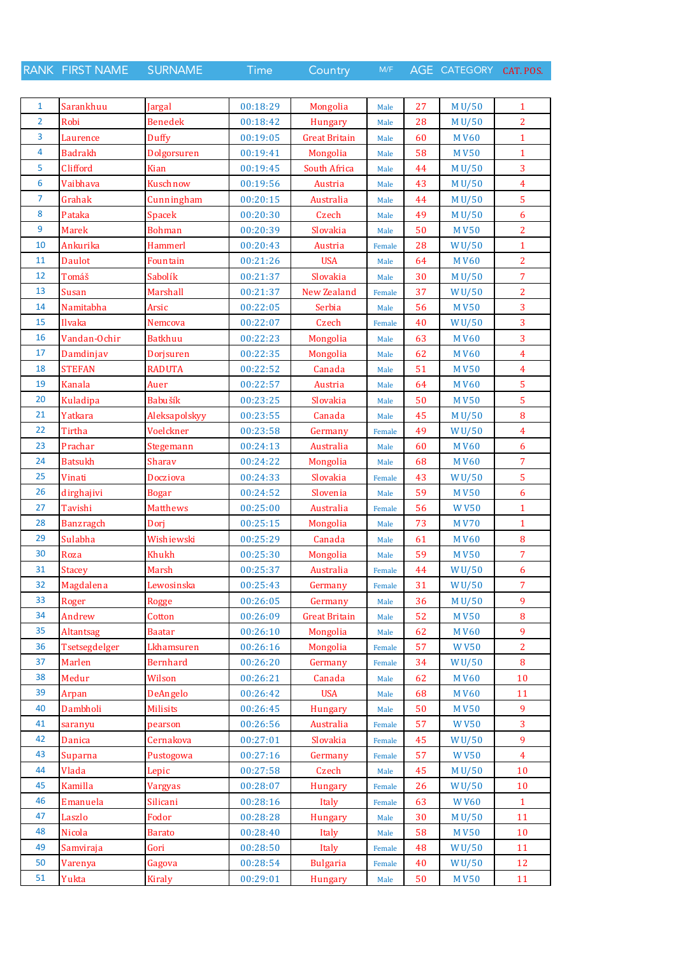RANK FIRST NAME SURNAME Time Country M/F AGE CATEGORY CAT. POS.

| $\mathbf{1}$   | Sarankhuu        | Jargal          | 00:18:29 | Mongolia             | Male   | 27 | M U/50           | $\mathbf{1}$            |
|----------------|------------------|-----------------|----------|----------------------|--------|----|------------------|-------------------------|
| $\overline{2}$ | Robi             | <b>Benedek</b>  | 00:18:42 | <b>Hungary</b>       | Male   | 28 | M U/50           | $\overline{2}$          |
| $\overline{3}$ | Laurence         | Duffy           | 00:19:05 | <b>Great Britain</b> | Male   | 60 | <b>MV60</b>      | $\mathbf{1}$            |
| 4              | <b>Badrakh</b>   | Dolgorsuren     | 00:19:41 | Mongolia             | Male   | 58 | <b>MV50</b>      | $\mathbf{1}$            |
| 5              | Clifford         | <b>Kian</b>     | 00:19:45 | South Africa         | Male   | 44 | M U/50           | $\overline{\mathbf{3}}$ |
| 6              | Vaibhava         | Kuschnow        | 00:19:56 | Austria              | Male   | 43 | M U/50           | $\overline{4}$          |
| $\overline{7}$ | Grahak           | Cunningham      | 00:20:15 | Australia            | Male   | 44 | M U/50           | 5                       |
| 8              | Pataka           | <b>Spacek</b>   | 00:20:30 | Czech                | Male   | 49 | M U/50           | 6                       |
| 9              | <b>Marek</b>     | <b>Bohman</b>   | 00:20:39 | Slovakia             | Male   | 50 | <b>MV50</b>      | $\overline{2}$          |
| 10             | Ankurika         | Hammerl         | 00:20:43 | Austria              | Female | 28 | WU/50            | $\mathbf{1}$            |
| 11             | <b>Daulot</b>    | Fountain        | 00:21:26 | <b>USA</b>           | Male   | 64 | <b>MV60</b>      | $\overline{2}$          |
| 12             | Tomáš            | Sabolík         | 00:21:37 | Slovakia             | Male   | 30 | M U/50           | $\overline{7}$          |
| 13             | Susan            | Marshall        | 00:21:37 | New Zealand          | Female | 37 | WU/50            | $\overline{2}$          |
| 14             | Namitabha        | Arsic           | 00:22:05 | Serbia               | Male   | 56 | <b>MV50</b>      | 3                       |
| 15             | Ilvaka           | Nemcova         | 00:22:07 | Czech                | Female | 40 | WU/50            | 3                       |
| 16             | Vandan-Ochir     | <b>Batkhuu</b>  | 00:22:23 | Mongolia             | Male   | 63 | <b>MV60</b>      | 3                       |
| 17             | Damdinjav        | Dorjsuren       | 00:22:35 | Mongolia             | Male   | 62 | <b>MV60</b>      | $\overline{4}$          |
| 18             | <b>STEFAN</b>    | <b>RADUTA</b>   | 00:22:52 | Canada               | Male   | 51 | <b>MV50</b>      | $\overline{4}$          |
| 19             | <b>Kanala</b>    | Auer            | 00:22:57 | Austria              | Male   | 64 | <b>MV60</b>      | $\overline{5}$          |
| 20             | Kuladipa         | Babušík         | 00:23:25 | Slovakia             | Male   | 50 | <b>MV50</b>      | $\overline{5}$          |
| 21             | Yatkara          | Aleksapolskyy   | 00:23:55 | Canada               |        | 45 | M U/50           | 8                       |
| 22             | Tirtha           | Voelckner       | 00:23:58 |                      | Male   | 49 |                  | $\overline{4}$          |
| 23             | Prachar          |                 |          | Germany              | Female |    | WU/50            |                         |
|                |                  | Stegemann       | 00:24:13 | Australia            | Male   | 60 | <b>MV60</b>      | 6                       |
| 24             | <b>Batsukh</b>   | Sharav          | 00:24:22 | Mongolia             | Male   | 68 | <b>MV60</b>      | $\overline{7}$          |
| 25             | Vinati           | Docziova        | 00:24:33 | Slovakia             | Female | 43 | WU/50            | $\overline{5}$          |
| 26             | dirghajivi       | <b>Bogar</b>    | 00:24:52 | Slovenia             | Male   | 59 | <b>MV50</b>      | 6                       |
| 27             | Tavishi          | <b>Matthews</b> | 00:25:00 | Australia            | Female | 56 | <b>WV50</b>      | $\mathbf{1}$            |
| 28             | <b>Banzragch</b> | Dori            | 00:25:15 | Mongolia             | Male   | 73 | <b>MV70</b>      | $\mathbf{1}$            |
| 29             | Sulabha          | Wishiewski      | 00:25:29 | Canada               | Male   | 61 | <b>MV60</b>      | 8                       |
| 30             | Roza             | Khukh           | 00:25:30 | Mongolia             | Male   | 59 | <b>MV50</b>      | $\overline{7}$          |
| 31             | <b>Stacey</b>    | Marsh           | 00:25:37 | Australia            | Female | 44 | WU/50            | 6                       |
| 32             | Magdalena        | Lewosinska      | 00:25:43 | Germany              | Female | 31 | WU/50            | 7                       |
| 33             | Roger            | <b>Rogge</b>    | 00:26:05 | Germany              | Male   | 36 | M U/50           | 9                       |
| 34             | Andrew           | Cotton          | 00:26:09 | <b>Great Britain</b> | Male   | 52 | <b>MV50</b>      | $\bf 8$                 |
| 35             | Altantsag        | <b>Baatar</b>   | 00:26:10 | Mongolia             | Male   | 62 | <b>MV60</b>      | 9                       |
| 36             | Tsetsegdelger    | Lkhamsuren      | 00:26:16 | Mongolia             | Female | 57 | <b>WV50</b>      | $\overline{2}$          |
| 37             | Marlen           | <b>Bernhard</b> | 00:26:20 | Germany              | Female | 34 | W U/50           | 8                       |
| 38             | Medur            | Wilson          | 00:26:21 | Canada               | Male   | 62 | <b>MV60</b>      | 10                      |
| 39             | Arpan            | DeAngelo        | 00:26:42 | <b>USA</b>           | Male   | 68 | <b>MV60</b>      | 11                      |
| 40             | Dambholi         | <b>Milisits</b> | 00:26:45 | Hungary              | Male   | 50 | <b>MV50</b>      | 9                       |
| 41             | saranyu          | pearson         | 00:26:56 | Australia            | Female | 57 | <b>WV50</b>      | 3                       |
| 42             | Danica           | Cernakova       | 00:27:01 | Slovakia             | Female | 45 | WU/50            | 9                       |
| 43             | Suparna          | Pustogowa       | 00:27:16 | Germany              | Female | 57 | W <sub>V50</sub> | $\overline{4}$          |
| 44             | Vlada            | Lepic           | 00:27:58 | Czech                | Male   | 45 | M U/50           | 10                      |
| 45             | Kamilla          | <b>Vargyas</b>  | 00:28:07 | Hungary              | Female | 26 | WU/50            | 10                      |
| 46             | Emanuela         | Silicani        | 00:28:16 | Italy                | Female | 63 | <b>WV60</b>      | $\mathbf{1}$            |
| 47             | Laszlo           | Fodor           | 00:28:28 | Hungary              | Male   | 30 | M U/50           | 11                      |
| 48             | Nicola           | <b>Barato</b>   | 00:28:40 | Italy                | Male   | 58 | <b>MV50</b>      | 10                      |
| 49             | Samviraja        | Gori            | 00:28:50 | Italy                | Female | 48 | WU/50            | 11                      |
| 50             | Varenya          | Gagova          | 00:28:54 | <b>Bulgaria</b>      | Female | 40 | WU/50            | 12                      |
| 51             | Yukta            | <b>Kiraly</b>   | 00:29:01 | Hungary              | Male   | 50 | <b>MV50</b>      | 11                      |
|                |                  |                 |          |                      |        |    |                  |                         |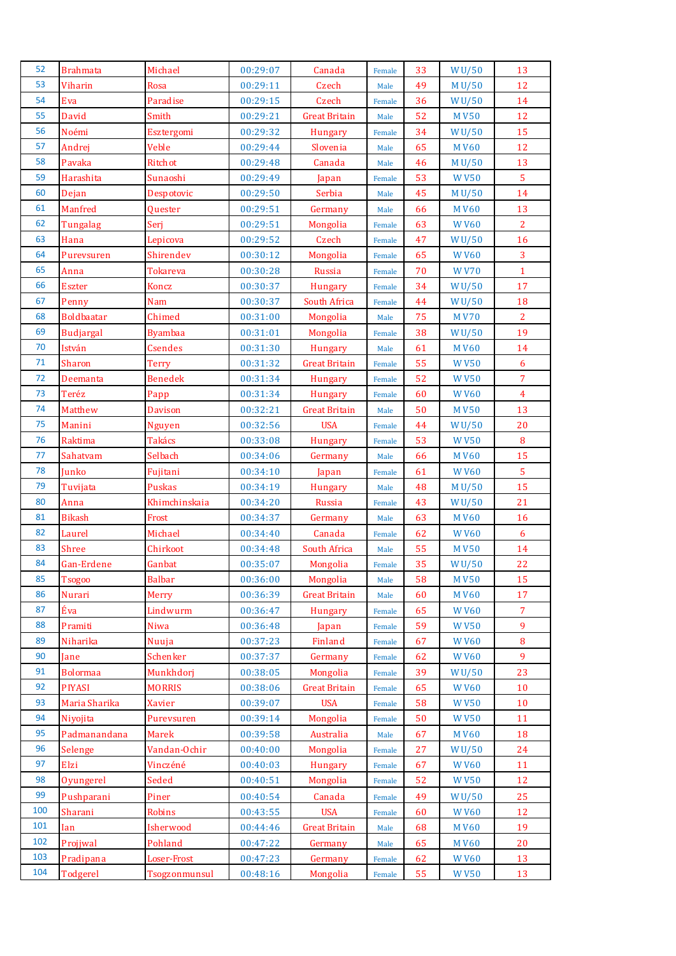| 52  | <b>Brahmata</b>   | Michael         | 00:29:07 | Canada               | Female         | 33 | WU/50              | 13               |
|-----|-------------------|-----------------|----------|----------------------|----------------|----|--------------------|------------------|
| 53  | Viharin           | <b>Rosa</b>     | 00:29:11 | Czech                | Male           | 49 | M U/50             | 12               |
| 54  | Eva               | Paradise        | 00:29:15 | Czech                | Female         | 36 | WU/50              | 14               |
| 55  | David             | Smith           | 00:29:21 | <b>Great Britain</b> | Male           | 52 | <b>MV50</b>        | 12               |
| 56  | Noémi             | Esztergomi      | 00:29:32 | Hungary              | Female         | 34 | WU/50              | 15               |
| 57  | Andrej            | Veble           | 00:29:44 | Slovenia             | Male           | 65 | <b>MV60</b>        | 12               |
| 58  | Pavaka            | Ritchot         | 00:29:48 | Canada               | Male           | 46 | M U/50             | 13               |
| 59  | Harashita         | Sunaoshi        | 00:29:49 | Japan                | Female         | 53 | <b>WV50</b>        | $\overline{5}$   |
| 60  | Dejan             | Despotovic      | 00:29:50 | Serbia               | Male           | 45 | M U/50             | 14               |
| 61  | Manfred           | Quester         | 00:29:51 | Germany              | Male           | 66 | <b>MV60</b>        | 13               |
| 62  | Tungalag          | Serj            | 00:29:51 | Mongolia             | Female         | 63 | <b>WV60</b>        | $\overline{2}$   |
| 63  | Hana              | Lepicova        | 00:29:52 | Czech                | Female         | 47 | W <sub>U</sub> /50 | 16               |
| 64  | Purevsuren        | Shirendev       | 00:30:12 | Mongolia             | Female         | 65 | <b>WV60</b>        | $\overline{3}$   |
| 65  | Anna              | <b>Tokareva</b> | 00:30:28 | Russia               | Female         | 70 | <b>WV70</b>        | $\mathbf{1}$     |
| 66  | <b>Eszter</b>     | Koncz           | 00:30:37 | Hungary              | Female         | 34 | W <sub>U</sub> /50 | 17               |
| 67  | Penny             | Nam             | 00:30:37 | South Africa         | Female         | 44 | WU/50              | 18               |
| 68  | <b>Boldbaatar</b> | Chimed          | 00:31:00 | Mongolia             | Male           | 75 | <b>MV70</b>        | $\overline{2}$   |
| 69  | <b>Budjargal</b>  | <b>Byambaa</b>  | 00:31:01 | Mongolia             | Female         | 38 | WU/50              | 19               |
| 70  | István            | <b>Csendes</b>  | 00:31:30 | Hungary              | Male           | 61 | <b>MV60</b>        | 14               |
| 71  | Sharon            | <b>Terry</b>    | 00:31:32 | <b>Great Britain</b> | Female         | 55 | <b>WV50</b>        | $\boldsymbol{6}$ |
| 72  | Deemanta          | <b>Benedek</b>  | 00:31:34 | Hungary              | Female         | 52 | <b>WV50</b>        | $\overline{7}$   |
| 73  | Teréz             | Papp            | 00:31:34 | Hungary              | Female         | 60 | <b>WV60</b>        | $\overline{4}$   |
| 74  | Matthew           | <b>Davison</b>  | 00:32:21 | <b>Great Britain</b> | Male           | 50 | <b>MV50</b>        | 13               |
| 75  | Manini            | <b>Nguyen</b>   | 00:32:56 | <b>USA</b>           | Female         | 44 | WU/50              | 20               |
| 76  | Raktima           | <b>Takács</b>   | 00:33:08 | Hungary              | Female         | 53 | <b>WV50</b>        | 8                |
| 77  | Sahatvam          | Selbach         | 00:34:06 | Germany              | Male           | 66 | <b>MV60</b>        | 15               |
| 78  | Junko             | Fujitani        | 00:34:10 | Japan                | Female         | 61 | <b>WV60</b>        | 5                |
| 79  | Tuvijata          | Puskas          | 00:34:19 | Hungary              | Male           | 48 | M U/50             | 15               |
| 80  | Anna              | Khimchinskaia   | 00:34:20 | Russia               | Female         | 43 | WU/50              | 21               |
| 81  | <b>Bikash</b>     | Frost           | 00:34:37 | Germany              | Male           | 63 | <b>MV60</b>        | 16               |
| 82  | Laurel            | Michael         | 00:34:40 | Canada               | Female         | 62 | <b>WV60</b>        | 6                |
| 83  | <b>Shree</b>      | Chirkoot        | 00:34:48 | South Africa         | Male           | 55 | <b>MV50</b>        | 14               |
| 84  | Gan-Erdene        | Ganbat          | 00:35:07 | Mongolia             | Female         | 35 | WU/50              | 22               |
| 85  | <b>Tsogoo</b>     | <b>Balbar</b>   | 00:36:00 | Mongolia             | Male           | 58 | <b>MV50</b>        | 15               |
| 86  | Nurari            | Merry           | 00:36:39 | <b>Great Britain</b> | Male           | 60 | <b>MV60</b>        | 17               |
| 87  | Éva               | Lindwurm        | 00:36:47 | Hungary              | Female         | 65 | <b>WV60</b>        | $\overline{7}$   |
| 88  | Pramiti           | Niwa            | 00:36:48 | Japan                | Female         | 59 | <b>WV50</b>        | 9                |
| 89  | Niharika          | Nuuja           | 00:37:23 | Finland              | Female         | 67 | <b>WV60</b>        | 8                |
| 90  | Jane              | Schenker        | 00:37:37 | Germany              | Female         | 62 | <b>WV60</b>        | 9                |
| 91  | <b>Bolormaa</b>   | Munkhdorj       | 00:38:05 | Mongolia             | Female         | 39 | W <sub>U</sub> /50 | 23               |
| 92  | <b>PIYASI</b>     | <b>MORRIS</b>   | 00:38:06 | <b>Great Britain</b> | Female         | 65 | <b>WV60</b>        | 10               |
| 93  | Maria Sharika     | <b>Xavier</b>   | 00:39:07 | <b>USA</b>           | Female         | 58 | <b>WV50</b>        | 10               |
| 94  | Niyojita          | Purevsuren      | 00:39:14 | Mongolia             | Female         | 50 | <b>WV50</b>        | 11               |
| 95  | Padmanandana      | Marek           | 00:39:58 | Australia            | Male           | 67 | <b>MV60</b>        | 18               |
| 96  | Selenge           | Vandan-Ochir    | 00:40:00 | Mongolia             | Female         | 27 | WU/50              | 24               |
| 97  | Elzi              | Vinczéné        | 00:40:03 | Hungary              | Female         | 67 | <b>WV60</b>        | 11               |
| 98  | Oyungerel         | Seded           | 00:40:51 | Mongolia             | Female         | 52 | <b>WV50</b>        | 12               |
| 99  | Pushparani        | Piner           | 00:40:54 | Canada               | Female         | 49 | WU/50              | 25               |
| 100 | Sharani           | Robins          | 00:43:55 | <b>USA</b>           | Female         | 60 | <b>WV60</b>        | 12               |
| 101 | Ian               | Isherwood       | 00:44:46 | <b>Great Britain</b> | Male           | 68 | <b>MV60</b>        | 19               |
| 102 | Projjwal          | Pohland         | 00:47:22 | Germany              |                | 65 | <b>MV60</b>        | 20               |
| 103 | Pradipana         | Loser-Frost     | 00:47:23 | Germany              | Male<br>Female | 62 | <b>WV60</b>        | 13               |
| 104 | Todgerel          | Tsogzonmunsul   |          |                      |                | 55 |                    | 13               |
|     |                   |                 | 00:48:16 | Mongolia             | Female         |    | <b>WV50</b>        |                  |